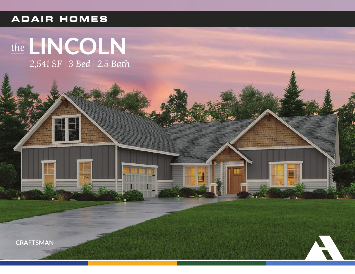### **ADAIR HOMES**

## the LINCOLN 2,541 SF | 3 Bed | 2.5 Bath

**THE REAL** 

刪